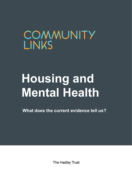## COMMUNITY **LINKS**

# **Housing and Mental Health**

**What does the current evidence tell us?**

The Hadley Trust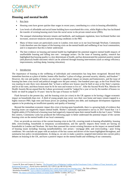

### **Housing and mental health**

- 1. Key facts
- Housing costs have grown quicker than wages in recent years, contributing to a crisis in housing affordability.
- Low levels of affordable and social home building have exacerbated this crisis, whilst Right to Buy has facilitated the transfer of existing housing stock from the social sector to the private rented sector (PRS).
- The unequal relationships between tenants and landlords, and inadequate regulation, have facilitated further rent increases, unsecure tenancies and poor housing conditions in the PRS.
- Many of these issues are particularly acute in London; even more so in our local borough Newham. Community Links therefore sees the impact of the housing crisis on the mental health and wellbeing of our local communities, and it is imperative that this is better understood.
- The best evidence on housing and mental health has highlighted the potential negative mental health impacts of unaffordable housing and falling into rent / mortgage arrears. On the issue of housing quality, research has highlighted that housing quality is a key determinant of health, and has demonstrated the potential positive mental (and physical) health outcomes which can be achieved through housing interventions (such as energy efficiency improvements, tackling damp, housing relocation).

#### 2. Introduction

-

The importance of housing to the wellbeing of individuals and communities has long been recognised. Beyond their immediate function as a place of shelter, homes offer families "a place of refuge, personal security, identity, and freedom".<sup>1</sup> However, the cost and quality of homes can also have a significant impact on tenants and homeowners, and the issue of housing has been a key social and political struggle over the past century. One hundred years ago, as the First World War was nearing its end, there were demands that "at least a million new houses must be built at once at the State's expense, and let at fair rents, and these houses must be fit for men and women to live in". After the Second World War, Minister for Health Aneurin Bevan argued that the Labour government would be "judged for a year or two by the number of houses we build; we shall be judged in 10 years' time by the type of houses we build".<sup>2</sup>

Flash forward to the present day, and the housing crisis (or crises) in the UK appears to be having a bigger economic impact on households than ever. A third of young people may never own their own home and many remain trapped in a highly insecure PRS; high rents and house prices are pushing families into debt; and inadequate development regulation appears to be producing an insufficient quantity and quality of housing.<sup>3</sup>

Beyond the immediate economic impact this crisis is having upon households, there is a growing body of evidence that housing issues can negatively impact mental health. Shelter's nationally representative survey in 2017 found that 1 in 5 English adults (21%) believed a housing issue had negatively impacted upon their mental health in the last 5 years.<sup>4</sup> Within this context, Community Links has produced the following paper to better understand the potential impact of the current housing crisis on the mental health of our local community.

First, we provide an overview of the current housing crisis in the UK, covering trends in housing affordability, housing debt, overcrowding, households in temporary accommodation, and the specific impacts these trends are having on households in London and Newham. We have then assessed the current existing literature on the impact on mental health of housing issues including: housing (un)affordability; rent arrears / mortgage debt; and overcrowding / poor living conditions. We conclude our paper with an analysis of the key causes and drivers of the issues highlighted throughout, and summarise key policy recommendations. In doing so, we aim to make a positive, targeted intervention into current policy debates on housing in the UK, and have a positive impact on the mental health and wellbeing of our community.

<sup>&</sup>lt;sup>1</sup> Lauren M. Ross and Gregory D. Squires, 'The Personal Costs of Subprime Lending and the Foreclosure Crisis: A Matter of Trust, Insecurity, and [Institutional Deception',](https://onlinelibrary.wiley.com/doi/abs/10.1111/j.1540-6237.2011.00761.x) *Social Science Quarterly*, 92:1 (2011), pp.140-163 (p.144).

<sup>2</sup> Anthony Broxton[, 'Let's Build The Houses Quick! How Labour tackled previous housing crises',](https://tidesofhistory.wordpress.com/2017/08/20/lets-build-the-houses-quick-how-labour-tackled-previous-housing-crises/) *The Tides of History.*

<sup>&</sup>lt;sup>3</sup> Resolution Foundation[, 'Up to a third of millennials face renting from cradle to grave',](https://www.resolutionfoundation.org/media/press-releases/up-to-a-third-of-millennials-face-renting-from-cradle-to-grave) 17 April 2018.

<sup>4</sup> Shelter, *[The impact of housing problems on mental health](http://england.shelter.org.uk/__data/assets/pdf_file/0005/760514/6424_Sustain_Final_Report_for_web.pdf)* (Shelter: London, 2017), p.11.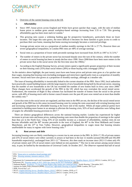

3. Overview of the current housing crisis in the UK

#### **i. Affordability**

- Since 1997, house prices across England and Wales have grown quicker than wages, with the ratio of median house prices to median gross annual workplace-based earnings increasing from 3.55 to 7.59. This growing affordability gap has been most stark in London. 5
- This growing ratio causes a widening funding gap for prospective homebuyers, particularly those on lower incomes. The larger this ratio grows, the more difficult it becomes for these families to gain access to credit to purchase their own home, meaning that home-owning increasingly becomes a restricted privilege.
- Average private sector rent as a proportion of median monthly earnings in the UK is 27.7%. However there are severe geographical inequalities; in London PRS rents are 48% of average earnings.
- Social rents as a proportion of lower tenth percentile earnings have increased from 26.6% in 1997 to 31.51%.<sup>6</sup>
- The number of renters in the private sector has increased sharply since the turn of the century, whilst the number of renters in social housing has been in steady decline since 1990. Since 2008 there have been more renters in the private sector than in the social sector (for the first time since the 1960s).<sup>7</sup>
- According to the English Housing Survey, private renters spend a significantly greater proportion of their income on their housing costs (35%) than social renters (28%) or those buying with a mortgage (18%).<sup>8</sup>

As the statistics above highlight, the past twenty years have seen house prices and private rents grow at a far quicker rate than wages, meaning that housing costs (including mortgages and rents) have significantly risen as a proportion of monthly incomes. Social rents have also grown as a proportion of monthly earnings, although at a steadier rate.

The issue of housing affordability is inextricably linked to the current situation of the PRS. Since 1992, local authorities have practically ceased building houses with the large majority of new households being built by the private sector, meaning that the number of new households in the UK has exceeded the number of new homes built in every year since 2008.<sup>9</sup> These changes have accelerated the growth of the PRS in the UK which has now overtaken the social rented sector. Furthermore, the extension of Right to Buy schemes has facilitated the transfer of homes from the social to the private sector, with 40% of housing stock sold to former council tenants over the past 40 years now rented out at more than double the weekly rent. $10$ 

Given that rents in the social sector are regulated, and that rents in the PRS are not, the decline of the social rented sector and growth of the PRS has in this sense increased housing costs by raising the rents associated with existing housing stock and increasing competition for affordable housing at the lower end of the market. Whilst all major political parties have committed to building more homes in an attempt to alleviate the housing crisis, 92% of local authorities were falling short of targets for affordable housing provision in 2017.<sup>11</sup>

There are distinct geographical differences across the national housing market. London has experienced far higher increases in private rents and house prices, making housing costs more than double the proportion of earnings in the capital than they are in the North East. Using 35% of net monthly income as a measure of affordability, median rents do not become affordable until the 80<sup>th</sup> income percentile in the west of England, the 40<sup>th</sup> in the West Midlands and Greater Manchester, and the 25<sup>th</sup> in Tees Valley. However, geographical inequalities in wages mean that housing remains unaffordable for many in regions with lower housing costs.<sup>12</sup>

#### **ii. Rent arrears and debt**

Increasing housing costs are likely contributing to a recent rise in rent arrears in the PRS. In 2016-17, 9% of private renters and 25% of social renters were either currently in arrears or had been in the last 12 months (around 682,000 and 392,000 households respectively), unchanged from 2011-12.<sup>13</sup> However, this does mark an increase since 2012-13 when only 4% of private renters and 12% of social renters were behind on rent payments.<sup>14</sup> The rise in rent arrears among social renters may, in part, be fuelled by the introduction of Universal Credit. In October 2017, *The Observer* reported that half of social

7 Ibid.

**.** 

- <sup>10</sup> Nathaniel Barker, ['Exclusive: 7% rise in former Right to Buy homes now rented privately',](https://www.insidehousing.co.uk/news/news/exclusive-7-rise-in-former-right-to-buy-homes-now-rented-privately-53507) *Inside Housing*, 7 December 2017.
- <sup>11</sup> Institute for Public Policy Research (IPPR), *[Priced Out? Affordable Housing in England](https://www.ippr.org/files/2017-11/priced-out-england-november-2017.pdf)* (IPPR: London, 2017), p.3

<sup>5</sup> ONS, ['House price to workplace-based earnings ratio'](https://www.ons.gov.uk/peoplepopulationandcommunity/housing/datasets/ratioofhousepricetoworkplacebasedearningslowerquartileandmedian).

<sup>6</sup> ONS[, 'Housing summary measures analysis: 2016'.](https://www.ons.gov.uk/peoplepopulationandcommunity/housing/articles/housingsummarymeasuresanalysis/2016)

<sup>8</sup> Department for Communities and Local Government (DCLG), *[English Housing Survey: Headline Report, 2015/16](https://assets.publishing.service.gov.uk/government/uploads/system/uploads/attachment_data/file/658478/2015-16_EHS_Headline_Report.pdf)* (DCLG: London, 2017), p.2. **<sup>9</sup>** Parliament UK, ['Housing supply in 2015–2020: Key issues for the 2015 Parliament'](https://www.parliament.uk/business/publications/research/key-issues-parliament-2015/social-protection/housing-supply/) (2015).

<sup>12</sup> IPPR, *Priced Out?,* p.3.

<sup>13</sup> DCLG, *[English Housing Survey: Headline Report, 2016/17](https://assets.publishing.service.gov.uk/government/uploads/system/uploads/attachment_data/file/705821/2016-17_EHS_Headline_Report.pdf)* (DCLG: London, 2018), p.17.

<sup>14</sup> DCLG, *[English Housing Survey: Headline Report, 2012/13](https://assets.publishing.service.gov.uk/government/uploads/system/uploads/attachment_data/file/335751/EHS_Households_Report_2012-13.pdf)* (DCLG: London, 2014), p.44.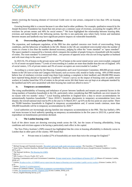

renters receiving the housing element of Universal Credit were in rent arrears, compared to less than 10% on housing benefit.<sup>15</sup>

Growing housing debt is a concern because it can often lead to other problems. For example, qualitative research by the Joseph Rowntree Foundation has found that rent arrears are a common cause of evictions, accounting for roughly 20% of evictions for private renters and 40% for social renters.<sup>16</sup> We have highlighted the relationship between housing debt, evictions and mental health in the following section, but this is one particular area where Early Action and mediation between tenants and landlords may have significant positive impacts on vulnerable households.

#### **iii. Overcrowding and poor living conditions**

The expansion, and inadequate regulation, of the PRS has also sparked concerns over levels of overcrowding, living conditions, and the behaviour of landlords in the UK. Homes in the UK are considered overcrowded when the number of rooms in a home is less than the number deemed necessary, judging by either the "room standard" or "space standard". The space standard is measured by a formula which compares the number of people living in a household with the number of rooms. The room standard "is contravened when…two persons of opposite sexes who are not living together as husband and wife must sleep in the same room".<sup>17</sup>

In 2015/16, 5% of homes in the private sector and 7% of homes in the social rented sector were overcrowded, compared to 1% of owner-occupied homes.<sup>18</sup> Levels of overcrowding in London are more than double than the rest of England. 14% of social renters, 11% of private renters and 3% of owner-occupiers are overcrowded in London.<sup>19</sup>

According to a recent report by the Housing, Communities and Local Government Committee, 800,000 private rented homes in the UK have at least one Category One hazard, such as excess cold, mould or faulty wiring. 44% of PRS tenants believe fear of retaliatory eviction would stop them from making a complaint to their landlord; and 200,000 PRS tenants have reported being abused or harassed by a landlord.<sup>20</sup> Unison's survey on the impact of housing costs on public sector workers in London found that 31% of renters in the private sector felt their home was not kept at an adequate standard by the landlord and  $42\%$  were unsatisfied with their housing but could not afford to move.<sup>21</sup>

#### **iv. Temporary accommodation**

The rising unaffordability of housing and imbalance of power between landlords and tenants are potential factors in the rising numbers of homeless households in the UK, particularly when considering that PRS landlords can evict tenants for no reason with two months' notice.<sup>22</sup> Local housing authorities in England have a duty to secure accommodation for unintentionally homeless households.<sup>23</sup> Since  $2010/11$ , homeless placements in temporary accommodation have risen sharply; the overall national total rose by 8% in the year to 31 March 2017, up 61% on the low point six years earlier. There are 78,000 homeless households in England in temporary accommodation and, if current trends continue, more than 100,000 households will be in temporary accommodation by  $2020^{24}$ 

Local authorities are increasingly placing families into temporary accommodation in the PRS. This has fuelled a 39% real terms increase in local authority spending on temporary accommodation in the five years to 2015/16, a period when expenditure on homelessness prevention declined.

#### **v. The London housing crisis**

Each of the above issues are showing worrying trends across the UK, but the issues of housing affordability, living conditions and evictions appear to be having a particularly stark effect in the capital.

The New Policy Institute's (NPI) research has highlighted that the crisis in housing affordability is distinctly worse in London than in other parts of the country. NPI found that:

Private rents in London (27% of households) are more than twice the average for England.<sup>25</sup>

**.** 

<sup>15</sup> Michael Savage and Chaminda Jayanetti[, 'Revealed: universal credit sends rent arrears soaring',](https://www.theguardian.com/society/2017/sep/16/universal-credit-rent-arrears-soar) *The Guardian*, 17 September 2017.

<sup>16</sup> Anna Clarke, Charlotte Hamilton, Michael Jones and Kathryn Muir, *Poverty, evictions and forced moves* (Joseph Rowntree Foundation: London, 2017), p.25.

<sup>17</sup> The National Archives, *[The Housing Act \(1985\)](https://www.legislation.gov.uk/ukpga/1985/68/part/X/crossheading/definition-of-overcrowding)*.

<sup>18</sup> Ibid. p.3.

<sup>19</sup> NPI, *London's Poverty Profile 2017*, p.51.

<sup>20</sup> Housing, Communities and Local Government Committee, *[Private rented sector: Fourth Report of Session 2017–19](https://publications.parliament.uk/pa/cm201719/cmselect/cmcomloc/440/440.pdf)* (House of Commons: London, 2018), p.3.

<sup>21</sup> Unison, *[No place to live: A UNISON survey report into the impact of housing costs on London's public service workers](https://www.unison.org.uk/content/uploads/2017/11/Housing-report.pdf)* (Unison: London, 2017), p.14.

<sup>&</sup>lt;sup>22</sup> Shelter[, 'Section 21 eviction process'.](https://england.shelter.org.uk/housing_advice/eviction/section_21_eviction_process)

<sup>&</sup>lt;sup>23</sup> House of Commons Library[, 'Households in temporary accommodation \(England\)'.](https://researchbriefings.parliament.uk/ResearchBriefing/Summary/SN02110)

<sup>&</sup>lt;sup>24</sup> Crisis, *[The homelessness monitor: England 2018](https://www.crisis.org.uk/media/238700/homelessness_monitor_england_2018.pdf)* (Crisis: London, 2018), p.xii.

<sup>25</sup> DCLG, *English Housing Survey*, p.15.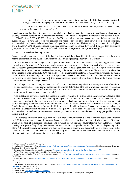

 Since 2010/11, there have been more people in poverty in London in the PRS than in social housing. In 2015/16, just under a million people in the PRS in London are in poverty with ~800,000 in social housing.

 In 2015/16, rent for a two-bedroom flat increased from 57% to 61% of monthly earnings in outer London, whereas in England it decreased to 29%.<sup>26</sup>

Homelessness and families in temporary accommodation are also increasing in London with significant implications for equality and social cohesion. The number of families evicted in London for not paying their rent doubled between 2013/14 and 2014/15 – from 7,200 to 15,500.<sup>27</sup> There were 54,370 households in temporary accommodation in London in the first quarter of 2017, a 48% increase on the previous five years. There are also significantly more people in temporary accommodation in London, and they stay there for longer. Seven in 10 households in temporary accommodation in England are in London.<sup>28</sup> 25% of people leaving temporary accommodation in London have lived there less than six months (compared to 59% nationally) whereas 15% have lived there for five years or more (4% nationally).<sup>29</sup>

#### **vi. A Newham housing crisis?**

Recent research suggests that many of the housing issues which have been identified across London, particularly with regards to affordability and living conditions in the PRS, are also present (if not worse) in Newham.

In 2015 in Newham, the average cost of buying a home was 12.26 times the average salary, creating an even wider borrowing gap for residents.<sup>30</sup> In part, this explains why Newham has a particularly high level of renters in the private sector. According to research commissioned by Newham Council, housing tenure mix in Newham is significantly different to the rest of the UK with 34% of local residents renting in the PRS (compared to 19% nationally) and only 27% who either own outright or with a mortgage (63% nationally).<sup>31</sup> This is significant insofar as it means that any impacts on mental health related to private renting will be particularly prevalent in Newham. For instance, only 73% of households in the PRS in Newham reported being satisfied with their accommodation, compared with 80% of those renting from housing associations and 96% of outright owners.<sup>32</sup>

According to Trust for London, Newham ranks 24<sup>th</sup> out of 32 London Boroughs both in terms of private rent affordability (rent as a percentage of lower quartile gross monthly earnings 2015/16) and the rate of evictions (landlord repossession order per 1000 households 2016).<sup>33</sup> Between 2014/15 and 2015/16, Newham saw the worst deterioration of earnings and largest increase in rents of any London borough.<sup>34</sup>

The Big Renters Survey has found that almost two thirds of renters in the City & East Constituency Area (covering the boroughs of Newham, Tower Hamlets, Barking & Dagenham and the City of London) have had problems with house repairs not being done in the past three years. The same survey also found that over one third of renters had worried about cold and draughty homes and damp or mould problems, whilst just under a quarter had worried about electrical safety.<sup>35</sup> Qualitative research conducted by Community Links in partnership with the Magpie Project, and testimonies gathered by the People's Empowerment Alliance for Custom House (PEACH), have also revealed the poor condition of temporary accommodation in the borough. Interviewees revealed problems with the poor condition of housing, pest problems and a lack of facilities.<sup>36</sup>

This evidence reveals the precarious position of our local community when it comes to housing needs, with renters in the PRS in a particularly vulnerable position. Recent years have seen housing costs dramatically increase in Newham, whilst wages have fallen or remained stagnant. The growth of the PRS has made households even more vulnerable to rising housing costs, potentially pushing them into rent arrears with the corresponding threat of eviction. Inadequate regulation of the PRS means that many families are living in poor conditions in overcrowded housing. In order to assess the potential effects this is having on the mental health and wellbeing of our community, we have below summarised the existing literature on the impact of housing issues on mental health.

**<sup>.</sup>** <sup>26</sup> NPI, *London's Poverty Profile 2017*, p.51.

<sup>27</sup> S. Ashton, M. Francis and M. Jarvie, *[Too poor to pay: the impact of a second year of localised council tax support](http://www.cpag.org.uk/too-poor-to-pay)* (Child Poverty Action Group and Zacchaeus 2000 Trust: London, 2015).

<sup>&</sup>lt;sup>28</sup> Department for Communities and Local Government, <u>'Temporary accommodation live tables:</u> October to December 2017'

<sup>&</sup>lt;sup>29</sup> DCLG. 'Temporary accommodation live tables: October to December 2017'.

<sup>&</sup>lt;sup>30</sup> London Datastore, 'Ratio of House Prices to Earnings, Borough' [\[https://data.london.gov.uk/dataset/ratio-house-prices-earnings-borough,](https://data.london.gov.uk/dataset/ratio-house-prices-earnings-borough) accessed 4 April 2018].

<sup>31</sup> London Borough of Newham, *[Understanding Newham 2015: Findings from Wave 8 of the Newham Household Panel Surveys](https://www.newham.gov.uk/Documents/Misc/Research-HouseholdSurvey8.pdf)* (Ipsos Mori: London, 2017), p.106.

<sup>32</sup> Ibid. p.109.

<sup>&</sup>lt;sup>33</sup> Trust for London, 'Poverty and inequality Data for Newham' [\[https://www.trustforlondon.org.uk/data/boroughs/newham-poverty-and-inequality](https://www.trustforlondon.org.uk/data/boroughs/newham-poverty-and-inequality-indicators/)[indicators/,](https://www.trustforlondon.org.uk/data/boroughs/newham-poverty-and-inequality-indicators/) accessed 4 April 2018].

<sup>34</sup> NPI, *London's Poverty Profile,* p.56.

<sup>35</sup> Sian Berry AM[, 'Big Renters Survey –](http://www.sianberry.london/big-renters-survey/results/) the results'.

<sup>&</sup>lt;sup>36</sup> These testimonies will be further highlighted in our case studies to be produced in the second phase of this project.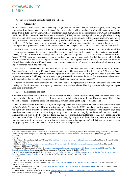

4. Impact of housing on mental health and wellbeing

#### **i. Affordability**

There is evidence from several studies deploying a high quality longitudinal analysis that housing (un)affordability can have a significant impact on mental health. Some of the best available evidence on housing affordability and mental health comes from a 2011 study by Bentley et al.<sup>37</sup> This longitudinal study, based on the responses of over 10,000 individuals to the Household, Income and Labour Dynamics in Australia (HILDA) survey, investigated whether people whose housing costs were more than 30% of their household income experienced a deterioration in their mental health. For individuals living in low-to-moderate income households, entering unaffordable housing was associated with a decrease in their mental health score.<sup>38</sup> Further evidence has been presented by Atalay et al. who have found that an increase in house prices can have a positive impact on the mental health of house owners, but a negative impact on private renters in the same area.<sup>39</sup>

Similarly, Mason et al.'s research from 2013 is based on longitudinal data from the HILDA. This study found that "private renters appeared to be more vulnerable than home purchasers to the mental health effects of unaffordable housing".<sup>40</sup> A more recent 2015 study by Popham et al. (based on longitudinal data from the British Household Panel Survey [BHPS]), however, suggests that change in housing tenure, due to renters purchasing their homes through the Right to Buy scheme, does not have an impact on mental health.<sup>41</sup> This suggests that it is the housing costs and levels of affordability associated with different housing tenures, rather than the terms of the tenures themselves, which have a greater impact on mental health and wellbeing.

Reeves et al.'s contribution to this field used a quasi-natural experiment, and cross-sectional data from the UK Annual Population Survey, to determine if cuts to housing benefits in the UK were associated with depression.<sup>42</sup> This study found that those in receipt of housing benefit after the implementation of cuts in 2011 had a higher likelihood of suffering from depressive symptoms.<sup>43</sup> Although the paper does highlight several limitations of the study, the results remained consistent with longitudinal data on welfare reforms and when adjusted for concurrent policy changes.<sup>44</sup>

Shelter have also conducted qualitative research with a nationally representative survey of 3,509 adults and found that housing affordability was the most frequently referenced issue by those who said housing pressures had a negative impact upon their mental health.<sup>45</sup>

#### **ii. Rent arrears and debt**

A number of cross-sectional studies have drawn associations between rent arrears / housing debt and mental health, and have highlighted the more widely accepted impact of general indebtedness on wellbeing. However, further high quality research is needed to explore a causal link specifically between housing debt and poor mental health.

Perhaps the most significant high-quality study regarding the impact of rent arrears and debt on mental health has been the 2007 study by Taylor et al.<sup>46</sup> This study, using longitudinal data from the BHPS, found that housing payment problems had significant detrimental effects on the mental wellbeing of heads of households, "in addition to and larger in magnitude than those associated with financial hardship more generally". An earlier study by Nettleton and Burrows, based on longitudinal data from the BHPS, had also found that the onset of mortgage indebtedness appears to be associated with increased levels of mental distress.<sup>47</sup> Furthermore, a 2012 study by Burgard et al. found that "respondents behind on their rent were significantly more likely to have had an anxiety attack in the past month" and that owners behind on their mortgage payments were more likely to suffer from anxiety and depression. <sup>48</sup>

-

<sup>37</sup> Rebecca Bentley, Emma Baker, Kate Mason, S. V. Subramanian, and Anne M. Kavanagh, 'Association Between Housing Affordability and Mental Health: A Longitudinal Analysis of a Nationally Representative Household Survey in Australia', *American Journal of Epidemiology*, 174:7 (2011), pp.753-60..

 $38$  Ibid. p.753.

<sup>39</sup> Kadir Atalay, Rebecca Edwards, Betty Y.J. Liu, ['Effects of house prices on health: New evidence from Australia',](https://www.sciencedirect.com/science/article/pii/S0277953617305415) *Social Science & Medicine*, 192 (2017), pp.36-48 (p.44).

<sup>&</sup>lt;sup>40</sup> KE Mason et al[. 'Housing affordability and mental health: Does the relationship differ for renters and home purchasers?',](https://www.ncbi.nlm.nih.gov/pubmed/23931950) Social Science & Medicine, 94 (2013), pp.91-97 (p.91).

<sup>&</sup>lt;sup>41</sup> F Popham, L Willamson and E Whitley, '<u>Is changing status through housing tenure associated with changes in mental health? Results from the</u> [British Household Panel Survey',](https://www.ncbi.nlm.nih.gov/pubmed/25294896) *Journal of Epidemiology and Community Health*, 69:1 (2015), PP.6-1.

 $42$  Aaron Reeves, Amy Clair, Martin McKee and David Stuckler, 'Reductions in the United Kingdom's Government Housing Benefit and Symptoms of [Depression in Low-Income Households',](https://academic.oup.com/aje/article/184/6/421/2576058) *American Journal of Epidemiology*, 184:6 (2016), pp.421-429.

<sup>43</sup> Ibid. 425. <sup>44</sup> Ibid. p.427.

<sup>45</sup> Shelter, *The impact of housing problems on mental health*, p.11.

<sup>46</sup> Mark P. Taylor, David J. Pevalin and Jennifer Todd, ['The psychological costs of unsustainable housing commitments',](https://www.cambridge.org/core/services/aop-cambridge-core/content/view/D52BBE9198D73BA0AD098FB3370A8E80/S0033291706009767a.pdf/psychological_costs_of_unsustainable_housing_commitments.pdf) *Psychological Medicine*, 37 (2007), pp.1027–1036.

<sup>47</sup> Sarah Nettleton and Roger Burrows[, 'Mortgage debt, insecure home ownership and health: an exploratory analysis',](https://www.google.com/url?sa=t&rct=j&q=&esrc=s&source=web&cd=1&cad=rja&uact=8&ved=0ahUKEwiImIrg-evaAhWMD8AKHdZFA-EQFggpMAA&url=http%3A%2F%2Fonlinelibrary.wiley.com%2Fdoi%2F10.1111%2F1467-9566.00127%2Fpdf&usg=AOvVaw3SS2n4VHiA8ONKyKH0mS8g) *Sociology of Health & Illness,* 20:5 (1998), pp. 731–753 (p.750).

<sup>&</sup>lt;sup>48</sup> Sarah A. Burgard, Kristin S. Seefeldt, Sarah Zelner, 'Housing instability and health: Findings from the Michigan recession and recovery study', *Social Science & Medicine*, 75 (2012) pp.2215-2224 (pp.2219-2220).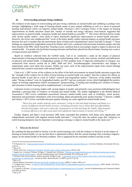

#### **iii. Overcrowding and poor living conditions**

The evidence of the impact of overcrowding and poor living conditions on mental health and wellbeing is perhaps even stronger, highlighting a wide range of housing-related causes of poor mental wellbeing as well as a series of potential housing interventions which can improve mental health. Thomson's 2013 Cochrane review of the impact on housing improvements on health outcomes found that "studies of warmth and energy efficiency interventions suggested that improvements in general health, respiratory health and mental health are possible".<sup>49</sup> The review did find uneven results with "poorer quality studies...more likely to report statistically significant improvements in mental health outcomes". However, the review also emphasised that "seven of the better quality studies reported impacts on mental health outcomes between five and 12 months after the intervention; three of these used a Randomised Control Trial (RCT) design".<sup>50</sup> These findings are supported by longitudinal research by Shelter and Crisis, conducted with previously homeless people who had been housed in the PRS, which found that "housing in poor condition had an increasingly negative impact on physical and mental health…For people who had better housing outcomes and had been placed into decent homes, housing was a source of empowerment and stability".<sup>51</sup>

Based on evidence collected from the GoWell study, Curl et al. conducted a study on the impact of physical improvements to housing (including improvements to central heating, fabric work, door security, kitchens and bathrooms) on physical and mental health. A longitudinal sample of 1933 residents from 15 deprived communities in Glasgow was constructed from surveys carried out in 2006, 2008 and 2011. Sociodemographic characteristics and changes in employment status were taken into account. Within two years, each of the improvements (apart from central heating) measured had a positive association with mental health.<sup>52</sup>

Clark et al.'s 2007 review of the evidence on the effect of the built environment on mental health outcomes argues that the "strength of the evidence for an effect of poor housing on mental health was weaker" than the evidence for effects on physical health, in part due to a lack of "robust" research and longitudinal studies.<sup>53</sup> However, of the studies classified under "Strong evidence" were six longitudinal studies, one RCT and one systematic review which highlighted the positive impact of housing regeneration (which encompassed "damp-proofing, re-roofing and installing new windows in homes, and relocation to better housing and/or neighbourhoods") on mental health.<sup>54</sup>

Literature reviews (covering studies with varying degree of quality and primarily cross-sectional methodologies) have identified a growing body of evidence on housing and mental health. The studies highlighted in the British Medical Association's 2003 review established associations between mental health issues such as irritability, social tension, depression and psychiatric disturbance with overcrowding, damp and generally poor quality housing.<sup>55</sup> Likewise, Liddell and Guiney's 2015 review concludes that poor-quality housing can cause significant mental health issues:

*"These first nine studies indicate early consensus. Living in cold and damp housing contributes to a variety of different mental health stressors, including persistent worry about debt and affordability, thermal discomfort, and worry about the consequences of cold and damp for health. Improvements to energy efficiency are often associated with significant improvements in mental well-being."* 56

Finally, Hopton and Hunt's cross-sectional 1996 study concluded that problems with damp were significantly and independently associated with negative mental health outcomes.<sup>57</sup> Using this data, the authors argue that "initiatives to tackle housing dampness may be important in developing a strategy to improve mental health in the study area".<sup>58</sup>

#### 5. What are the drivers?

By combing the data provided in Section 3 on the current housing crisis with the evidence in Section 4 on the impact of housing on mental health, we can see that there is substantial evidence that the current housing crisis is having a negative impact on the mental health of Newham residents. This is supported by the anecdotal evidence and day-to-day

**.** 

<sup>49</sup> H Thomson et al.[, 'Housing improvements for health and associated socioeconomic outcomes \(Review\)',](http://cochranelibrary-wiley.com/doi/10.1002/14651858.CD008657.pub2/abstract) *Cochrane Database of Systematic Reviews*, 2 (2013).

<sup>50</sup> Ibid. p.36.

<sup>51</sup> Shelter and Crisis, *[A Roof Over My Head: The final report of the Sustain project](http://england.shelter.org.uk/__data/assets/pdf_file/0005/760514/6424_Sustain_Final_Report_for_web.pdf)* (2014), p.66.

<sup>52</sup> Angela Curl, A Kearns, P Mason, M Egan, C Tannahill and A Ellaway[, 'Physical and mental health outcomes following housing improvements:](http://eprints.gla.ac.uk/96303/1/96303%20%281%29.pdf)  [evidence from the GoWell study',](http://eprints.gla.ac.uk/96303/1/96303%20%281%29.pdf) *Journal of Epidemiology and Community Health*, 69:1 (2015), pp..12-9.

 $53$  Charlotte Clark, Rowan Myron, Stephen Stansfeld, Bridget Candy,  $\angle A$  systematic review of the evidence on the effect of the built and physical [environment on mental health',](https://www.emeraldinsight.com/doi/abs/10.1108/17465729200700011) *Journal of Public Mental Health*, 6:2 (2007), pp.14-27 (p.14). <sup>54</sup> Ibid. p.19.

<sup>55</sup> British Medical Association, *[Housing and health: building for the future](http://bmaopac.hosted.exlibrisgroup.com/exlibris/aleph/a23_1/apache_media/G7L4PYYLM6HGKVT8CXLVJGQBEPBK8K.pdf)* (BMA: London, 2003), p.27.

<sup>56</sup> C Liddell and C Guiney, ['Living in a cold and damp home: frameworks for understanding impacts on mental well-being',](https://www.ncbi.nlm.nih.gov/pubmed/25726123) *Public Health*, 129 (2015), pp.191-99 (p.191).

<sup>57</sup> J L Hopton, S M Hunt[, 'Housing conditions and mental health in a disadvantaged area in Scotland',](http://jech.bmj.com/content/jech/50/1/56.full.pdf) *Journal of Epidemiology and Community Health*, 50 (1996), pp.56-61.

<sup>58</sup> Ibid. p.56.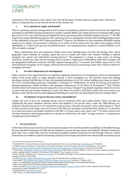

experiences of the Community Links Advice team who see the impact of these issues on a regular basis. With this in mind, it is important that we ask what the drivers of this situation are.

#### **i. Is it a question of supply and demand?**

There is a growing consensus among political and economic commentators, politicians and the third sector that significant investment in affordable housing development is needed. Campbell Robb of the Joseph Rowntree Foundation (JRF) argues that a lack of "low-cost rented housing in England has led to a growing number of families trapped in poverty".<sup>59</sup> The JRF propose increasing affordable housing, but with a particular focus on a programme of social home-building (perhaps similar to that undertaken by the post-1945 Labour government).<sup>60</sup> However, the definition of what constitutes affordable housing remains up for debate: the government's definition is set at 80% of local market rents; the Labour Party propose setting affordability at "a third of average local household incomes"; and campaigners have argued for a similar definition set at 30% of monthly earnings. 61

Some commentators have also questioned whether more house building alone will solve the housing crisis. Social geographer Danny Dorling, for example, argues that even in London and Oxford only "modest" building is required alongside rent controls and redistributive housing policies.<sup>62</sup> This perspective is shared, to some extent, by housing consultancy Savills who argue that the housing crisis in London is largely one of affordability rather than of supply, and that geographical differences demand a flexible, regional housing policy.<sup>63</sup> Economist Ann Pettifor argues that it is the financialisation of housing, not low supply, which has driven up the price of purchasing a home with a knock-on effect for mortgages and rents.<sup>64</sup>

#### **ii. Are there disincentives for development?**

Others, however, have argued that there are significant regulatory disincentives for development which are restricting the ability of the private sector to supply adequate housing. A 2015 investigation by *The Guardian* found that housing developers retained 600,000 plots of land with planning permission in the UK without building more homes on them.<sup>65</sup> The CALA housebuilding group have responded to accusations of "landbanking" for profit by blaming local authority planning departments, limited workforce and inadequate infrastructure for the delays in development.<sup>66</sup> Paul Cheshire (London School of Economics) has also argued that cities are being "strangled" by greenbelt regulation which forces cities to ration land and only benefits landowners. In part, the Mayor of London's 2018 draft London Plan can be seen as an attempt to deal with this issue by encouraging housebuilding on small sites and undeveloped land near transport hubs.<sup>67</sup>

#### **iii. An imbalance of power between renters and landlords?**

Another key area of focus for campaign groups, such as Generation Rent and London Renters Union, has been on readdressing the power imbalance between renters and landlords in the private sector. Under the 1988 Housing Act, landlords were given the power to evict tenants for no given reason, with only two months' notice, under Section 21. These no-fault evictions are the largest cause of evictions in the PRS and, according to Generation Rent, Section 21 "is why there is so much bad practice and shoddy conditions in the PRS. If a tenant makes a fuss, they're out".<sup>68</sup> No fault evictions have also been blamed for bad housing conditions as tenants are fearful they will suffer "revenge evictions" in retaliation for complaining to their landlord.<sup>69</sup>

#### 6. Recommendations

In Newham, the key issues faced by our local community appear to be centred around the availability of affordable housing, the poor standard of housing in the PRS and the imbalance of power between tenants and landlords. Newham Council has gone some way to tackle these issues by introducing mandatory landlord licensing across the borough. However, further interventions are needed to improve the housing situation in the borough and alleviate the mental health issues being faced

<sup>60</sup> Joseph Rowntree Foundation, 'Using the Social Housing Green Paper to boost the supply of low-cost rented homes', 18 Feb 2018

consultation]: London, December 2017), p.152.

**<sup>.</sup>** <sup>59</sup> Campbell Robb, 'Dominic Raab must tackle the growing shortfall in low-cost rented housing', *[Inside Housing](https://www.insidehousing.co.uk/comment/dominic-raab-must-tackle-the-growing-shortfall-in-low-cost-rented-housing-54974)*, 28 Feb 2018.

[<sup>\[</sup>https://www.jrf.org.uk/report/using-social-housing-green-paper-boost-supply-low-cost-rented-homes,](https://www.jrf.org.uk/report/using-social-housing-green-paper-boost-supply-low-cost-rented-homes) accessed 10 April 2018].

<sup>61</sup> Labour Party, *[Housing for the many: a Labour Party green paper](http://labour.org.uk/wp-content/uploads/2018/04/Housing-for-the-Many-final.pdf)* (Labour Party: London, 2018), p.14; My Fair London, *Housing and Inequality in London: Building a Better London for all Londoners* (The Equality Trust: London, 2017), p.4.

<sup>62</sup> Danny Dorling, 'Housing crisis?', *[Academy of Urbanism](https://www.academyofurbanism.org.uk/housing-crisis-danny-dorling/)*, 21 December 2016 [https://www.academyofurbanism.org.uk/housing-crisis-dannydorling/, accessed 10 April 2018].

<sup>63</sup> Savills, *[Towards a regional affordable housing policy](http://pdf.euro.savills.co.uk/uk/spotlight-on/spotlight---towards-a-regional-affordable-housing-policy---november-2017.pdf)* (Savills World Research: London, 2017), p.2.

<sup>64</sup> Ann Pettifor, ['Why building more homes will not solve Britain's housing crisis',](https://www.theguardian.com/commentisfree/2018/jan/27/building-homes-britain-housing-crisis) *Guardian*, 27 January 2018.

<sup>65</sup> https://www.theguardian.com/cities/2017/jan/31/britain-land-housing-crisis-developers-not-building-land-banking

<sup>66</sup> http://www.cityam.com/276476/bank-builders-profiting-land-banking-myth

<sup>67</sup> Mayor of London, *The London Plan: The [Spatial Development Strategy for Greater London](https://www.london.gov.uk/sites/default/files/new_london_plan_december_2017.pdf)* (Greater London Authority [draft for public

<sup>68</sup> Generation Rent[, 'End unfair evictions'.](http://www.generationrent.org/security)

<sup>69</sup> JRF, *Poverty, evictions and forced moves*, p.27.